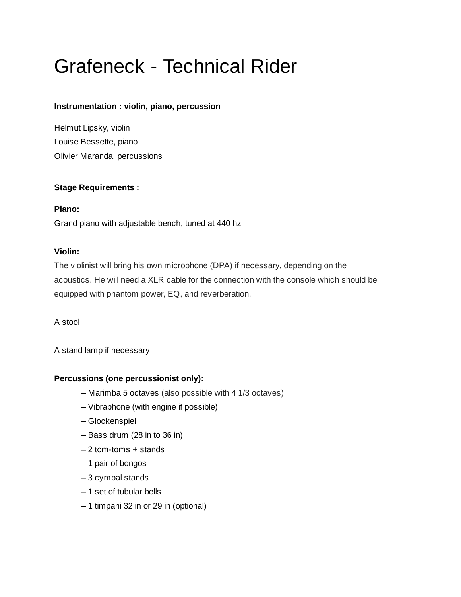# Grafeneck - Technical Rider

# **Instrumentation : violin, piano, percussion**

Helmut Lipsky, violin Louise Bessette, piano Olivier Maranda, percussions

## **Stage Requirements :**

## **Piano:**

Grand piano with adjustable bench, tuned at 440 hz

## **Violin:**

The violinist will bring his own microphone (DPA) if necessary, depending on the acoustics. He will need a XLR cable for the connection with the console which should be equipped with phantom power, EQ, and reverberation.

A stool

A stand lamp if necessary

## **Percussions (one percussionist only):**

- Marimba 5 octaves (also possible with 4 1/3 octaves)
- Vibraphone (with engine if possible)
- Glockenspiel
- Bass drum (28 in to 36 in)
- 2 tom-toms + stands
- 1 pair of bongos
- 3 cymbal stands
- 1 set of tubular bells
- 1 timpani 32 in or 29 in (optional)